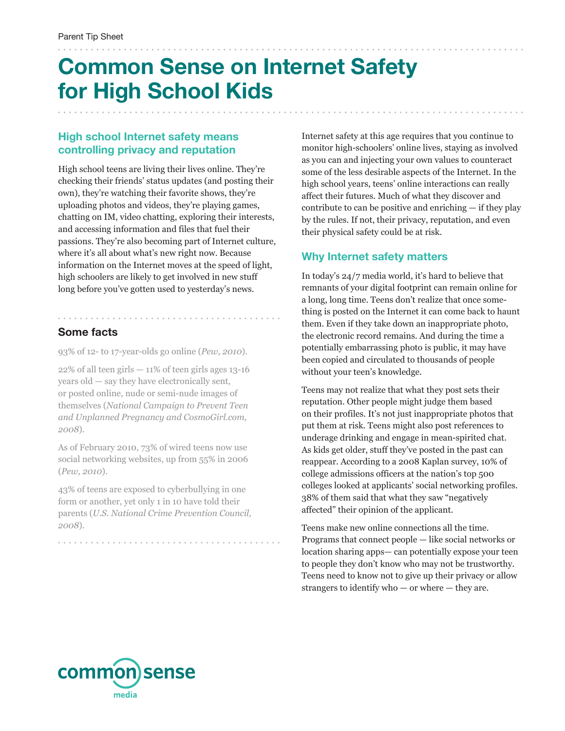# **Common Sense on Internet Safety for High School Kids**

### **High school Internet safety means controlling privacy and reputation**

High school teens are living their lives online. They're checking their friends' status updates (and posting their own), they're watching their favorite shows, they're uploading photos and videos, they're playing games, chatting on IM, video chatting, exploring their interests, and accessing information and files that fuel their passions. They're also becoming part of Internet culture, where it's all about what's new right now. Because information on the Internet moves at the speed of light, high schoolers are likely to get involved in new stuff long before you've gotten used to yesterday's news.

## **Some facts**

. . . . . . . . . . . . . . . . . .

93% of 12- to 17-year-olds go online (*Pew, 2010*).

 $22\%$  of all teen girls  $-11\%$  of teen girls ages 13-16 years old — say they have electronically sent, or posted online, nude or semi-nude images of themselves (*National Campaign to Prevent Teen and Unplanned Pregnancy and CosmoGirl.com, 2008*).

As of February 2010, 73% of wired teens now use social networking websites, up from 55% in 2006 (*Pew, 2010*).

43% of teens are exposed to cyberbullying in one form or another, yet only 1 in 10 have told their parents (*U.S. National Crime Prevention Council, 2008*).

Internet safety at this age requires that you continue to monitor high-schoolers' online lives, staying as involved as you can and injecting your own values to counteract some of the less desirable aspects of the Internet. In the high school years, teens' online interactions can really affect their futures. Much of what they discover and contribute to can be positive and enriching — if they play by the rules. If not, their privacy, reputation, and even their physical safety could be at risk.

### **Why Internet safety matters**

In today's 24/7 media world, it's hard to believe that remnants of your digital footprint can remain online for a long, long time. Teens don't realize that once something is posted on the Internet it can come back to haunt them. Even if they take down an inappropriate photo, the electronic record remains. And during the time a potentially embarrassing photo is public, it may have been copied and circulated to thousands of people without your teen's knowledge.

Teens may not realize that what they post sets their reputation. Other people might judge them based on their profiles. It's not just inappropriate photos that put them at risk. Teens might also post references to underage drinking and engage in mean-spirited chat. As kids get older, stuff they've posted in the past can reappear. According to a 2008 Kaplan survey, 10% of college admissions officers at the nation's top 500 colleges looked at applicants' social networking profiles. 38% of them said that what they saw "negatively affected" their opinion of the applicant.

Teens make new online connections all the time. Programs that connect people — like social networks or location sharing apps— can potentially expose your teen to people they don't know who may not be trustworthy. Teens need to know not to give up their privacy or allow strangers to identify who  $-$  or where  $-$  they are.